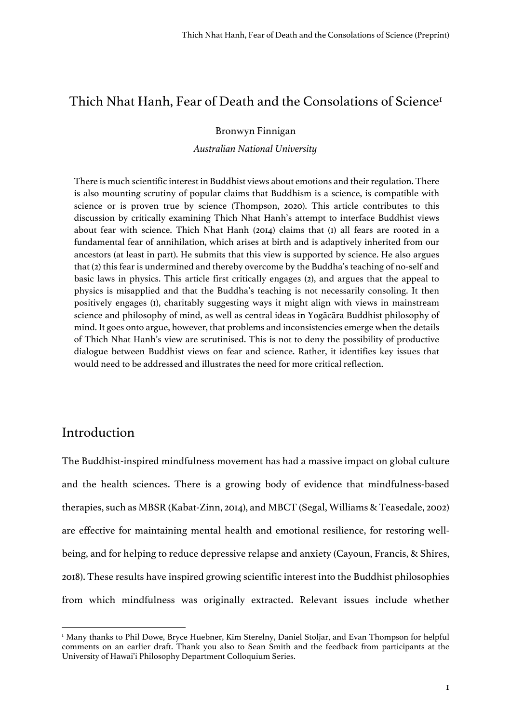## Thich Nhat Hanh, Fear of Death and the Consolations of Science<sup>1</sup>

### Bronwyn Finnigan

*Australian National University*

There is much scientific interest in Buddhist views about emotions and their regulation. There is also mounting scrutiny of popular claims that Buddhism is a science, is compatible with science or is proven true by science (Thompson, 2020). This article contributes to this discussion by critically examining Thich Nhat Hanh's attempt to interface Buddhist views about fear with science. Thich Nhat Hanh (2014) claims that (1) all fears are rooted in a fundamental fear of annihilation, which arises at birth and is adaptively inherited from our ancestors (at least in part). He submits that this view is supported by science. He also argues that (2) this fear is undermined and thereby overcome by the Buddha's teaching of no-self and basic laws in physics. This article first critically engages (2), and argues that the appeal to physics is misapplied and that the Buddha's teaching is not necessarily consoling. It then positively engages (1), charitably suggesting ways it might align with views in mainstream science and philosophy of mind, as well as central ideas in Yogācāra Buddhist philosophy of mind. It goes onto argue, however, that problems and inconsistencies emerge when the details of Thich Nhat Hanh's view are scrutinised. This is not to deny the possibility of productive dialogue between Buddhist views on fear and science. Rather, it identifies key issues that would need to be addressed and illustrates the need for more critical reflection.

## Introduction

The Buddhist-inspired mindfulness movement has had a massive impact on global culture and the health sciences. There is a growing body of evidence that mindfulness-based therapies, such as MBSR (Kabat-Zinn, 2014), and MBCT (Segal, Williams & Teasedale, 2002) are effective for maintaining mental health and emotional resilience, for restoring wellbeing, and for helping to reduce depressive relapse and anxiety (Cayoun, Francis, & Shires, 2018). These results have inspired growing scientific interest into the Buddhist philosophies from which mindfulness was originally extracted. Relevant issues include whether

<sup>&</sup>lt;sup>1</sup> Many thanks to Phil Dowe, Bryce Huebner, Kim Sterelny, Daniel Stoljar, and Evan Thompson for helpful comments on an earlier draft. Thank you also to Sean Smith and the feedback from participants at the University of Hawai'i Philosophy Department Colloquium Series.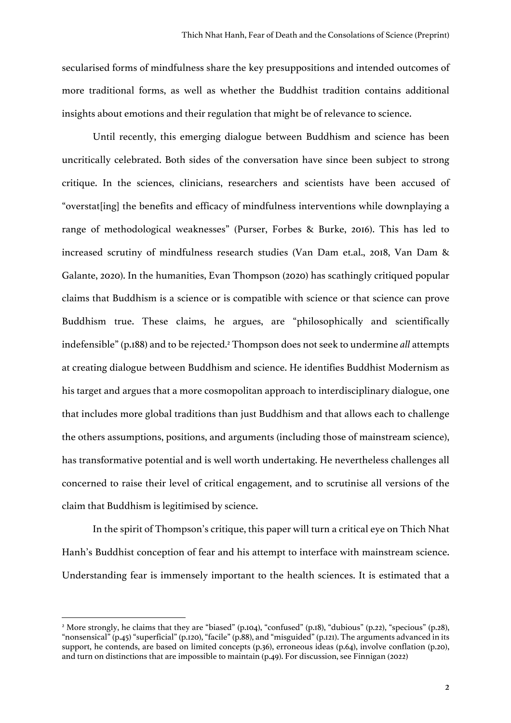secularised forms of mindfulness share the key presuppositions and intended outcomes of more traditional forms, as well as whether the Buddhist tradition contains additional insights about emotions and their regulation that might be of relevance to science.

Until recently, this emerging dialogue between Buddhism and science has been uncritically celebrated. Both sides of the conversation have since been subject to strong critique. In the sciences, clinicians, researchers and scientists have been accused of "overstat[ing] the benefits and efficacy of mindfulness interventions while downplaying a range of methodological weaknesses" (Purser, Forbes & Burke, 2016). This has led to increased scrutiny of mindfulness research studies (Van Dam et.al., 2018, Van Dam & Galante, 2020). In the humanities, Evan Thompson (2020) has scathingly critiqued popular claims that Buddhism is a science or is compatible with science or that science can prove Buddhism true. These claims, he argues, are "philosophically and scientifically indefensible"(p.188) and to be rejected.2 Thompson does not seek to undermine *all* attempts at creating dialogue between Buddhism and science. He identifies Buddhist Modernism as his target and argues that a more cosmopolitan approach to interdisciplinary dialogue, one that includes more global traditions than just Buddhism and that allows each to challenge the others assumptions, positions, and arguments (including those of mainstream science), has transformative potential and is well worth undertaking. He nevertheless challenges all concerned to raise their level of critical engagement, and to scrutinise all versions of the claim that Buddhism is legitimised by science.

In the spirit of Thompson's critique, this paper will turn a critical eye on Thich Nhat Hanh's Buddhist conception of fear and his attempt to interface with mainstream science. Understanding fear is immensely important to the health sciences. It is estimated that a

<sup>&</sup>lt;sup>2</sup> More strongly, he claims that they are "biased" (p.104), "confused" (p.18), "dubious" (p.22), "specious" (p.28), "nonsensical" (p.45) "superficial" (p.120), "facile" (p.88), and "misguided" (p.121). The arguments advanced in its support, he contends, are based on limited concepts (p.36), erroneous ideas (p.64), involve conflation (p.20), and turn on distinctions that are impossible to maintain (p.49). For discussion, see Finnigan (2022)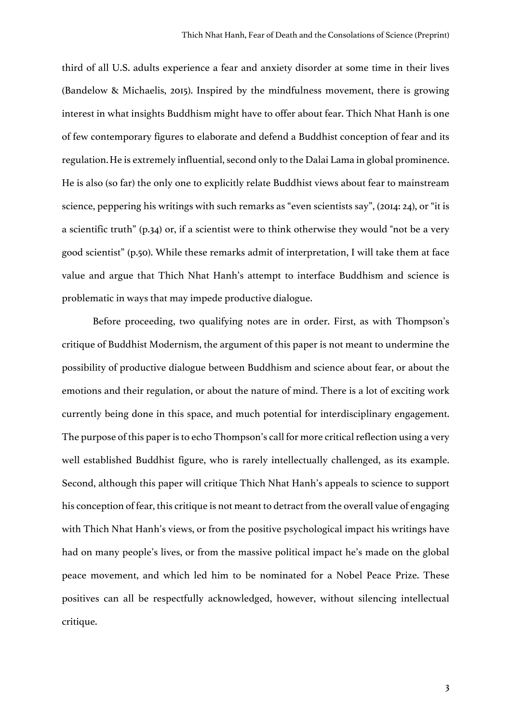third of all U.S. adults experience a fear and anxiety disorder at some time in their lives (Bandelow & Michaelis, 2015). Inspired by the mindfulness movement, there is growing interest in what insights Buddhism might have to offer about fear. Thich Nhat Hanh is one of few contemporary figures to elaborate and defend a Buddhist conception of fear and its regulation.He is extremely influential, second only to the Dalai Lama in global prominence. He is also (so far) the only one to explicitly relate Buddhist views about fear to mainstream science, peppering his writings with such remarks as "even scientists say", (2014: 24), or "it is a scientific truth" (p.34) or, if a scientist were to think otherwise they would "not be a very good scientist" (p.50). While these remarks admit of interpretation, I will take them at face value and argue that Thich Nhat Hanh's attempt to interface Buddhism and science is problematic in ways that may impede productive dialogue.

Before proceeding, two qualifying notes are in order. First, as with Thompson's critique of Buddhist Modernism, the argument of this paper is not meant to undermine the possibility of productive dialogue between Buddhism and science about fear, or about the emotions and their regulation, or about the nature of mind. There is a lot of exciting work currently being done in this space, and much potential for interdisciplinary engagement. The purpose of this paper is to echo Thompson's call for more critical reflection using a very well established Buddhist figure, who is rarely intellectually challenged, as its example. Second, although this paper will critique Thich Nhat Hanh's appeals to science to support his conception of fear, this critique is not meant to detract from the overall value of engaging with Thich Nhat Hanh's views, or from the positive psychological impact his writings have had on many people's lives, or from the massive political impact he's made on the global peace movement, and which led him to be nominated for a Nobel Peace Prize. These positives can all be respectfully acknowledged, however, without silencing intellectual critique.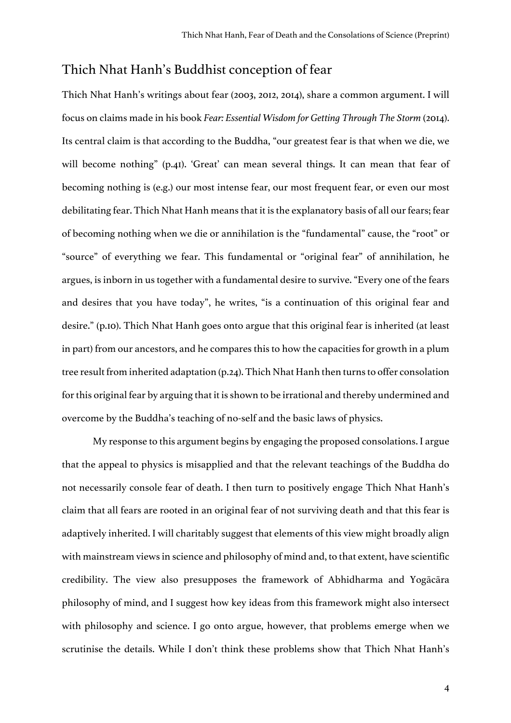# Thich Nhat Hanh's Buddhist conception of fear

Thich Nhat Hanh's writings about fear (2003, 2012, 2014), share a common argument. I will focus on claims made in his book *Fear: Essential Wisdom for Getting Through The Storm (2014)*. Its central claim is that according to the Buddha, "our greatest fear is that when we die, we will become nothing" (p.41). 'Great' can mean several things. It can mean that fear of becoming nothing is (e.g.) our most intense fear, our most frequent fear, or even our most debilitating fear. Thich Nhat Hanh means that it is the explanatory basis of all our fears; fear of becoming nothing when we die or annihilation is the "fundamental" cause, the "root" or "source" of everything we fear. This fundamental or "original fear" of annihilation, he argues, is inborn in us together with a fundamental desire to survive. "Every one of the fears and desires that you have today", he writes, "is a continuation of this original fear and desire." (p.10). Thich Nhat Hanh goes onto argue that this original fear is inherited (at least in part) from our ancestors, and he compares this to how the capacities for growth in a plum tree result from inherited adaptation (p.24). Thich Nhat Hanh then turns to offer consolation for this original fear by arguing that it is shown to be irrational and thereby undermined and overcome by the Buddha's teaching of no-self and the basic laws of physics.

My response to this argument begins by engaging the proposed consolations. I argue that the appeal to physics is misapplied and that the relevant teachings of the Buddha do not necessarily console fear of death. I then turn to positively engage Thich Nhat Hanh's claim that all fears are rooted in an original fear of not surviving death and that this fear is adaptively inherited. I will charitably suggest that elements of this view might broadly align with mainstream views in science and philosophy of mind and, to that extent, have scientific credibility. The view also presupposes the framework of Abhidharma and Yogācāra philosophy of mind, and I suggest how key ideas from this framework might also intersect with philosophy and science. I go onto argue, however, that problems emerge when we scrutinise the details. While I don't think these problems show that Thich Nhat Hanh's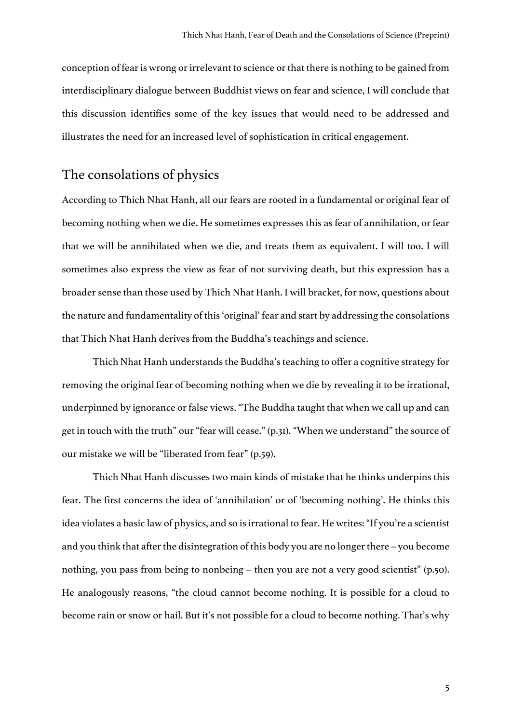conception of fear is wrong or irrelevant to science or that there is nothing to be gained from interdisciplinary dialogue between Buddhist views on fear and science, I will conclude that this discussion identifies some of the key issues that would need to be addressed and illustrates the need for an increased level of sophistication in critical engagement.

# The consolations of physics

According to Thich Nhat Hanh, all our fears are rooted in a fundamental or original fear of becoming nothing when we die. He sometimes expresses this as fear of annihilation, or fear that we will be annihilated when we die, and treats them as equivalent. I will too. I will sometimes also express the view as fear of not surviving death, but this expression has a broader sense than those used by Thich Nhat Hanh. I will bracket, for now, questions about the nature and fundamentality of this 'original' fear and start by addressing the consolations that Thich Nhat Hanh derives from the Buddha's teachings and science.

Thich Nhat Hanh understands the Buddha's teaching to offer a cognitive strategy for removing the original fear of becoming nothing when we die by revealing it to be irrational, underpinned by ignorance or false views."The Buddha taught that when we call up and can get in touch with the truth" our "fear will cease." (p.31). "When we understand" the source of our mistake we will be "liberated from fear" (p.59).

Thich Nhat Hanh discusses two main kinds of mistake that he thinks underpins this fear. The first concerns the idea of 'annihilation' or of 'becoming nothing'. He thinks this idea violates a basic law of physics, and so is irrational to fear. He writes: "If you're a scientist and you think that after the disintegration of this body you are no longer there – you become nothing, you pass from being to nonbeing – then you are not a very good scientist" (p.50). He analogously reasons, "the cloud cannot become nothing. It is possible for a cloud to become rain or snow or hail. But it's not possible for a cloud to become nothing. That's why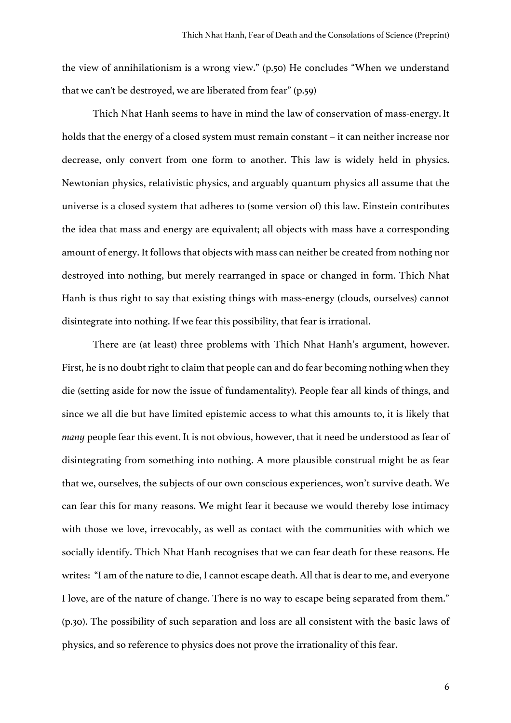the view of annihilationism is a wrong view." (p.50) He concludes "When we understand that we can't be destroyed, we are liberated from fear" (p.59)

Thich Nhat Hanh seems to have in mind the law of conservation of mass-energy.It holds that the energy of a closed system must remain constant – it can neither increase nor decrease, only convert from one form to another. This law is widely held in physics. Newtonian physics, relativistic physics, and arguably quantum physics all assume that the universe is a closed system that adheres to (some version of) this law. Einstein contributes the idea that mass and energy are equivalent; all objects with mass have a corresponding amount of energy. It follows that objects with mass can neither be created from nothing nor destroyed into nothing, but merely rearranged in space or changed in form. Thich Nhat Hanh is thus right to say that existing things with mass-energy (clouds, ourselves) cannot disintegrate into nothing. If we fear this possibility, that fear is irrational.

There are (at least) three problems with Thich Nhat Hanh's argument, however. First, he is no doubt right to claim that people can and do fear becoming nothing when they die (setting aside for now the issue of fundamentality). People fear all kinds of things, and since we all die but have limited epistemic access to what this amounts to, it is likely that *many* people fear this event. It is not obvious, however, that it need be understood as fear of disintegrating from something into nothing. A more plausible construal might be as fear that we, ourselves, the subjects of our own conscious experiences, won't survive death. We can fear this for many reasons. We might fear it because we would thereby lose intimacy with those we love, irrevocably, as well as contact with the communities with which we socially identify. Thich Nhat Hanh recognises that we can fear death for these reasons. He writes: "I am of the nature to die, I cannot escape death. All that is dear to me, and everyone I love, are of the nature of change. There is no way to escape being separated from them." (p.30). The possibility of such separation and loss are all consistent with the basic laws of physics, and so reference to physics does not prove the irrationality of this fear.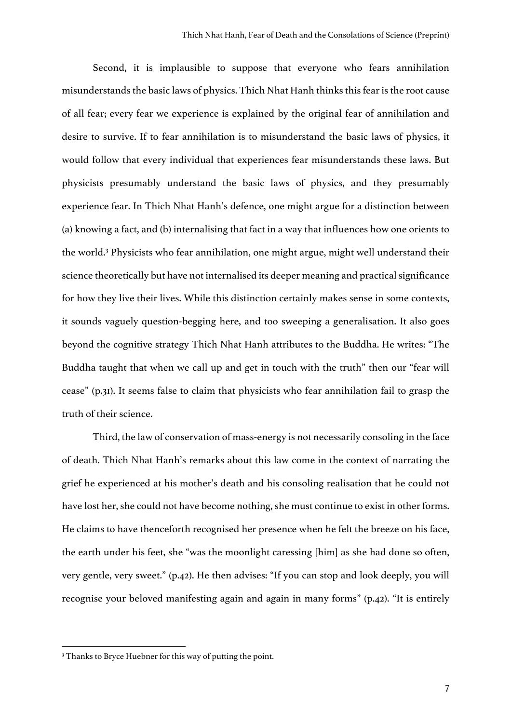Second, it is implausible to suppose that everyone who fears annihilation misunderstands the basic laws of physics. Thich Nhat Hanh thinks this fear is the root cause of all fear; every fear we experience is explained by the original fear of annihilation and desire to survive. If to fear annihilation is to misunderstand the basic laws of physics, it would follow that every individual that experiences fear misunderstands these laws. But physicists presumably understand the basic laws of physics, and they presumably experience fear. In Thich Nhat Hanh's defence, one might argue for a distinction between (a) knowing a fact, and (b) internalising that fact in a way that influences how one orients to the world.3 Physicists who fear annihilation, one might argue, might well understand their science theoretically but have not internalised its deeper meaning and practical significance for how they live their lives. While this distinction certainly makes sense in some contexts, it sounds vaguely question-begging here, and too sweeping a generalisation. It also goes beyond the cognitive strategy Thich Nhat Hanh attributes to the Buddha. He writes: "The Buddha taught that when we call up and get in touch with the truth" then our "fear will cease" (p.31). It seems false to claim that physicists who fear annihilation fail to grasp the truth of their science.

Third, the law of conservation of mass-energy is not necessarily consoling in the face of death. Thich Nhat Hanh's remarks about this law come in the context of narrating the grief he experienced at his mother's death and his consoling realisation that he could not have lost her, she could not have become nothing, she must continue to exist in other forms. He claims to have thenceforth recognised her presence when he felt the breeze on his face, the earth under his feet, she "was the moonlight caressing [him] as she had done so often, very gentle, very sweet." (p.42). He then advises: "If you can stop and look deeply, you will recognise your beloved manifesting again and again in many forms" (p.42). "It is entirely

<sup>&</sup>lt;sup>3</sup> Thanks to Bryce Huebner for this way of putting the point.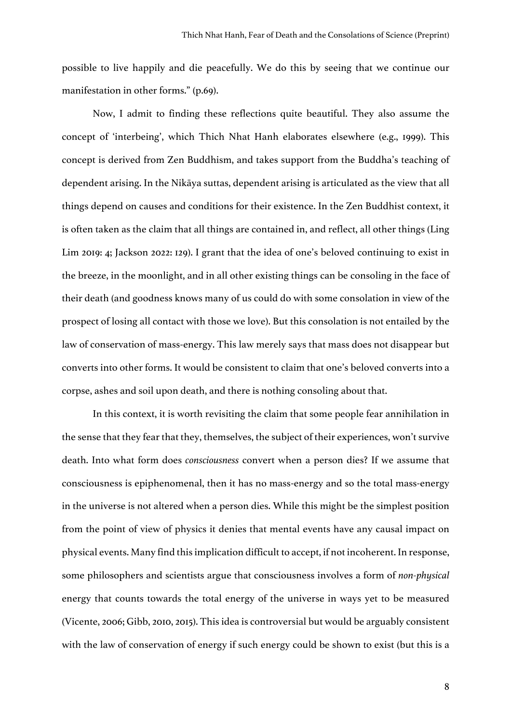possible to live happily and die peacefully. We do this by seeing that we continue our manifestation in other forms." (p.69).

Now, I admit to finding these reflections quite beautiful. They also assume the concept of 'interbeing', which Thich Nhat Hanh elaborates elsewhere (e.g., 1999). This concept is derived from Zen Buddhism, and takes support from the Buddha's teaching of dependent arising. In the Nikāya suttas, dependent arising is articulated as the view that all things depend on causes and conditions for their existence. In the Zen Buddhist context, it is often taken as the claim that all things are contained in, and reflect, all other things (Ling Lim 2019: 4; Jackson 2022: 129). I grant that the idea of one's beloved continuing to exist in the breeze, in the moonlight, and in all other existing things can be consoling in the face of their death (and goodness knows many of us could do with some consolation in view of the prospect of losing all contact with those we love). But this consolation is not entailed by the law of conservation of mass-energy. This law merely says that mass does not disappear but converts into other forms. It would be consistent to claim that one's beloved converts into a corpse, ashes and soil upon death, and there is nothing consoling about that.

In this context, it is worth revisiting the claim that some people fear annihilation in the sense that they fear that they, themselves, the subject of their experiences, won't survive death. Into what form does *consciousness* convert when a person dies? If we assume that consciousness is epiphenomenal, then it has no mass-energy and so the total mass-energy in the universe is not altered when a person dies. While this might be the simplest position from the point of view of physics it denies that mental events have any causal impact on physical events. Many find thisimplication difficult to accept, if not incoherent. In response, some philosophers and scientists argue that consciousness involves a form of *non-physical* energy that counts towards the total energy of the universe in ways yet to be measured (Vicente, 2006; Gibb, 2010, 2015). This idea is controversial but would be arguably consistent with the law of conservation of energy if such energy could be shown to exist (but this is a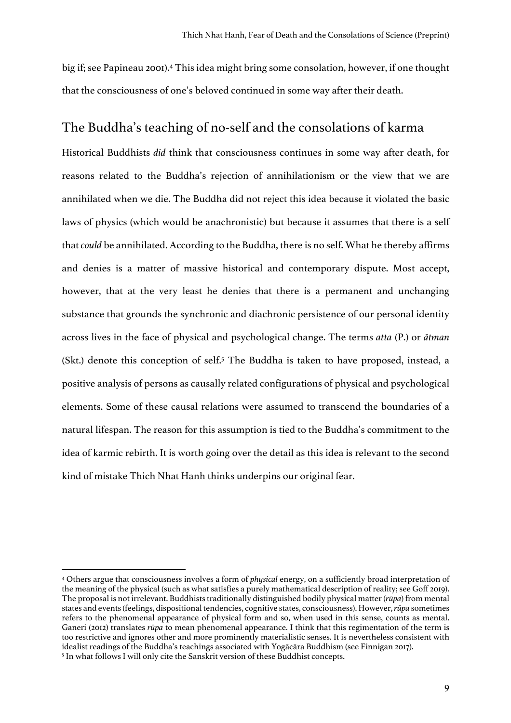big if; see Papineau 2001). <sup>4</sup> This idea might bring some consolation, however, if one thought that the consciousness of one's beloved continued in some way after their death.

## The Buddha's teaching of no-self and the consolations of karma

Historical Buddhists *did* think that consciousness continues in some way after death, for reasons related to the Buddha's rejection of annihilationism or the view that we are annihilated when we die. The Buddha did not reject this idea because it violated the basic laws of physics (which would be anachronistic) but because it assumes that there is a self that *could* be annihilated. According to the Buddha, there is no self. What he thereby affirms and denies is a matter of massive historical and contemporary dispute. Most accept, however, that at the very least he denies that there is a permanent and unchanging substance that grounds the synchronic and diachronic persistence of our personal identity across lives in the face of physical and psychological change. The terms *atta* (P.) or *ātman* (Skt.) denote this conception of self.<sup>5</sup> The Buddha is taken to have proposed, instead, a positive analysis of persons as causally related configurations of physical and psychological elements. Some of these causal relations were assumed to transcend the boundaries of a natural lifespan. The reason for this assumption is tied to the Buddha's commitment to the idea of karmic rebirth. It is worth going over the detail as this idea is relevant to the second kind of mistake Thich Nhat Hanh thinks underpins our original fear.

<sup>4</sup> Others argue that consciousness involves a form of *physical* energy, on a sufficiently broad interpretation of the meaning of the physical (such as what satisfies a purely mathematical description of reality; see Goff 2019). The proposal is not irrelevant. Buddhists traditionally distinguished bodily physical matter (*rūpa*) from mental states and events(feelings, dispositional tendencies, cognitive states, consciousness). However,*rūpa* sometimes refers to the phenomenal appearance of physical form and so, when used in this sense, counts as mental. Ganeri (2012) translates *rūpa* to mean phenomenal appearance. I think that this regimentation of the term is too restrictive and ignores other and more prominently materialistic senses. It is nevertheless consistent with idealist readings of the Buddha's teachings associated with Yogācāra Buddhism (see Finnigan 2017). <sup>5</sup> In what follows I will only cite the Sanskrit version of these Buddhist concepts.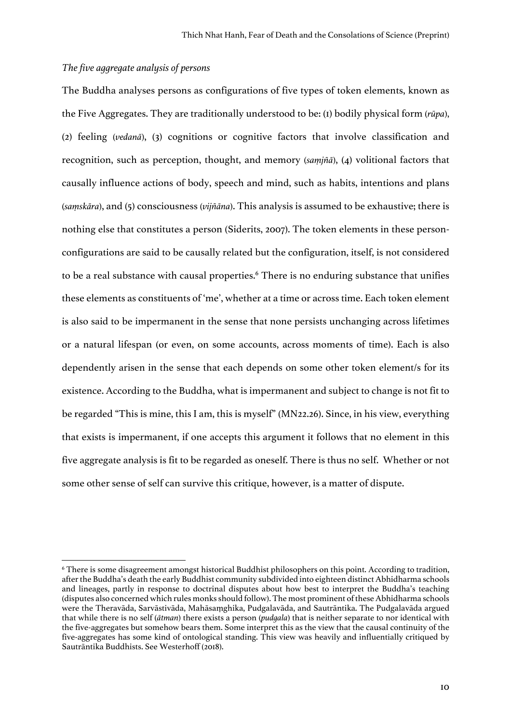### *The five aggregate analysis of persons*

The Buddha analyses persons as configurations of five types of token elements, known as the Five Aggregates. They are traditionally understood to be: (1) bodily physical form (*rūpa*), (2) feeling (*vedanā*), (3) cognitions or cognitive factors that involve classification and recognition, such as perception, thought, and memory (*saṃjñā*), (4) volitional factors that causally influence actions of body, speech and mind, such as habits, intentions and plans (*saṃskāra*), and (5) consciousness (*vijñāna*). This analysis is assumed to be exhaustive; there is nothing else that constitutes a person (Siderits, 2007). The token elements in these personconfigurations are said to be causally related but the configuration, itself, is not considered to be a real substance with causal properties. <sup>6</sup> There is no enduring substance that unifies these elements as constituents of 'me', whether at a time or across time. Each token element is also said to be impermanent in the sense that none persists unchanging across lifetimes or a natural lifespan (or even, on some accounts, across moments of time). Each is also dependently arisen in the sense that each depends on some other token element/s for its existence. According to the Buddha, what is impermanent and subject to change is not fit to be regarded "This is mine, this I am, this is myself" (MN22.26). Since, in his view, everything that exists is impermanent, if one accepts this argument it follows that no element in this five aggregate analysis is fit to be regarded as oneself. There is thus no self. Whether or not some other sense of self can survive this critique, however, is a matter of dispute.

<sup>6</sup> There is some disagreement amongst historical Buddhist philosophers on this point. According to tradition, after the Buddha's death the early Buddhist community subdivided into eighteen distinct Abhidharma schools and lineages, partly in response to doctrinal disputes about how best to interpret the Buddha's teaching (disputes also concerned which rules monks should follow). The most prominent of these Abhidharma schools were the Theravāda, Sarvāstivāda, Mahāsaṃghika, Pudgalavāda, and Sautrāntika. The Pudgalavāda argued that while there is no self (*ātman*) there exists a person (*pudgala*) that is neither separate to nor identical with the five-aggregates but somehow bears them. Some interpret this as the view that the causal continuity of the five-aggregates has some kind of ontological standing. This view was heavily and influentially critiqued by Sautrāntika Buddhists. See Westerhoff (2018).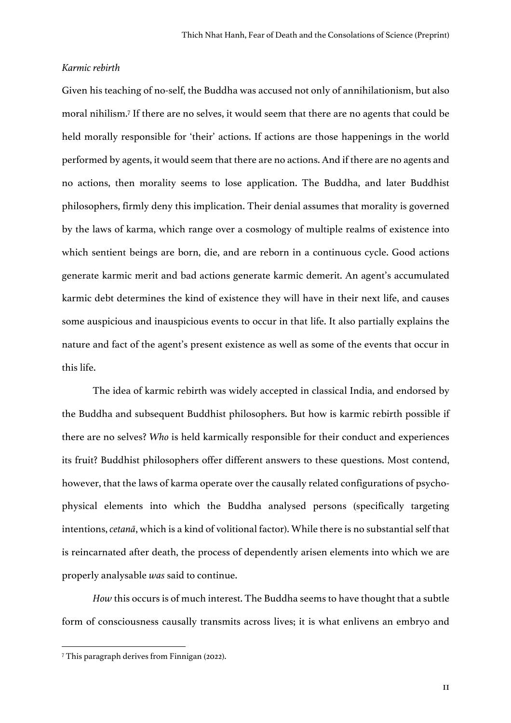#### *Karmic rebirth*

Given his teaching of no-self, the Buddha was accused not only of annihilationism, but also moral nihilism.7 If there are no selves, it would seem that there are no agents that could be held morally responsible for 'their' actions. If actions are those happenings in the world performed by agents, it would seem that there are no actions. And if there are no agents and no actions, then morality seems to lose application. The Buddha, and later Buddhist philosophers, firmly deny this implication. Their denial assumes that morality is governed by the laws of karma, which range over a cosmology of multiple realms of existence into which sentient beings are born, die, and are reborn in a continuous cycle. Good actions generate karmic merit and bad actions generate karmic demerit. An agent's accumulated karmic debt determines the kind of existence they will have in their next life, and causes some auspicious and inauspicious events to occur in that life. It also partially explains the nature and fact of the agent's present existence as well as some of the events that occur in this life.

The idea of karmic rebirth was widely accepted in classical India, and endorsed by the Buddha and subsequent Buddhist philosophers. But how is karmic rebirth possible if there are no selves? *Who* is held karmically responsible for their conduct and experiences its fruit? Buddhist philosophers offer different answers to these questions. Most contend, however, that the laws of karma operate over the causally related configurations of psychophysical elements into which the Buddha analysed persons (specifically targeting intentions, *cetanā*, which is a kind of volitional factor). While there is no substantial self that is reincarnated after death, the process of dependently arisen elements into which we are properly analysable *was* said to continue.

*How* this occurs is of much interest. The Buddha seems to have thought that a subtle form of consciousness causally transmits across lives; it is what enlivens an embryo and

<sup>7</sup> This paragraph derives from Finnigan (2022).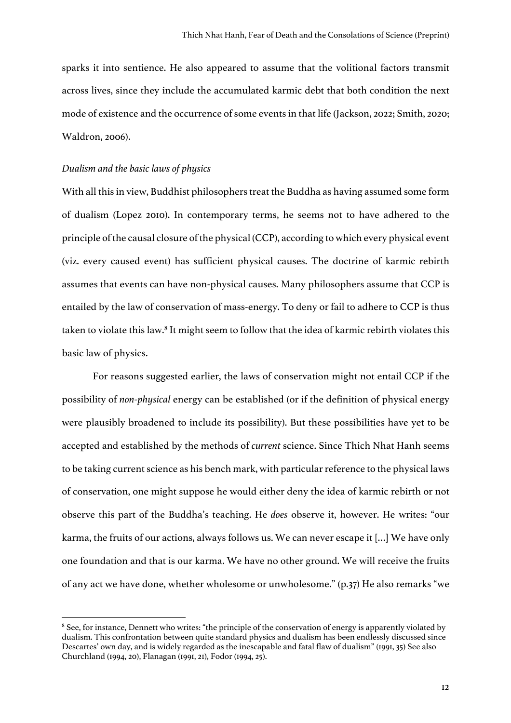sparks it into sentience. He also appeared to assume that the volitional factors transmit across lives, since they include the accumulated karmic debt that both condition the next mode of existence and the occurrence of some events in that life (Jackson, 2022; Smith, 2020; Waldron, 2006).

### *Dualism and the basic laws of physics*

With all this in view, Buddhist philosophers treat the Buddha as having assumed some form of dualism (Lopez 2010). In contemporary terms, he seems not to have adhered to the principle of the causal closure of the physical (CCP), according to which every physical event (viz. every caused event) has sufficient physical causes. The doctrine of karmic rebirth assumes that events can have non-physical causes. Many philosophers assume that CCP is entailed by the law of conservation of mass-energy. To deny or fail to adhere to CCP is thus taken to violate this law.<sup>8</sup> It might seem to follow that the idea of karmic rebirth violates this basic law of physics.

For reasons suggested earlier, the laws of conservation might not entail CCP if the possibility of *non-physical* energy can be established (or if the definition of physical energy were plausibly broadened to include its possibility). But these possibilities have yet to be accepted and established by the methods of *current* science. Since Thich Nhat Hanh seems to be taking current science as his bench mark, with particular reference to the physical laws of conservation, one might suppose he would either deny the idea of karmic rebirth or not observe this part of the Buddha's teaching. He *does* observe it, however. He writes: "our karma, the fruits of our actions, always follows us. We can never escape it […] We have only one foundation and that is our karma. We have no other ground. We will receive the fruits of any act we have done, whether wholesome or unwholesome." (p.37) He also remarks "we

<sup>&</sup>lt;sup>8</sup> See, for instance, Dennett who writes: "the principle of the conservation of energy is apparently violated by dualism. This confrontation between quite standard physics and dualism has been endlessly discussed since Descartes' own day, and is widely regarded as the inescapable and fatal flaw of dualism" (1991, 35) See also Churchland (1994, 20), Flanagan (1991, 21), Fodor (1994, 25).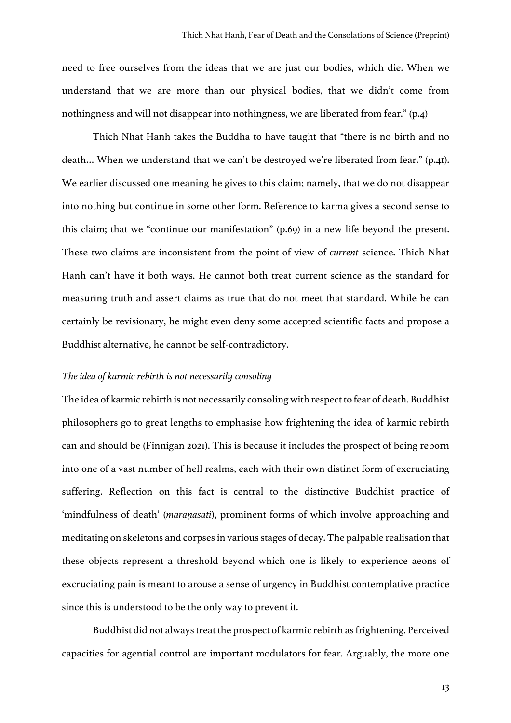need to free ourselves from the ideas that we are just our bodies, which die. When we understand that we are more than our physical bodies, that we didn't come from nothingness and will not disappear into nothingness, we are liberated from fear." (p.4)

Thich Nhat Hanh takes the Buddha to have taught that "there is no birth and no death… When we understand that we can't be destroyed we're liberated from fear." (p.41). We earlier discussed one meaning he gives to this claim; namely, that we do not disappear into nothing but continue in some other form. Reference to karma gives a second sense to this claim; that we "continue our manifestation" (p.69) in a new life beyond the present. These two claims are inconsistent from the point of view of *current* science. Thich Nhat Hanh can't have it both ways. He cannot both treat current science as the standard for measuring truth and assert claims as true that do not meet that standard. While he can certainly be revisionary, he might even deny some accepted scientific facts and propose a Buddhist alternative, he cannot be self-contradictory.

### *The idea of karmic rebirth is not necessarily consoling*

The idea of karmic rebirth is not necessarily consoling with respect to fear of death. Buddhist philosophers go to great lengths to emphasise how frightening the idea of karmic rebirth can and should be (Finnigan 2021). This is because it includes the prospect of being reborn into one of a vast number of hell realms, each with their own distinct form of excruciating suffering. Reflection on this fact is central to the distinctive Buddhist practice of 'mindfulness of death' (*maraṇasati*), prominent forms of which involve approaching and meditating on skeletons and corpses in various stages of decay. The palpable realisation that these objects represent a threshold beyond which one is likely to experience aeons of excruciating pain is meant to arouse a sense of urgency in Buddhist contemplative practice since this is understood to be the only way to prevent it.

Buddhist did not always treat the prospect of karmic rebirth as frightening. Perceived capacities for agential control are important modulators for fear. Arguably, the more one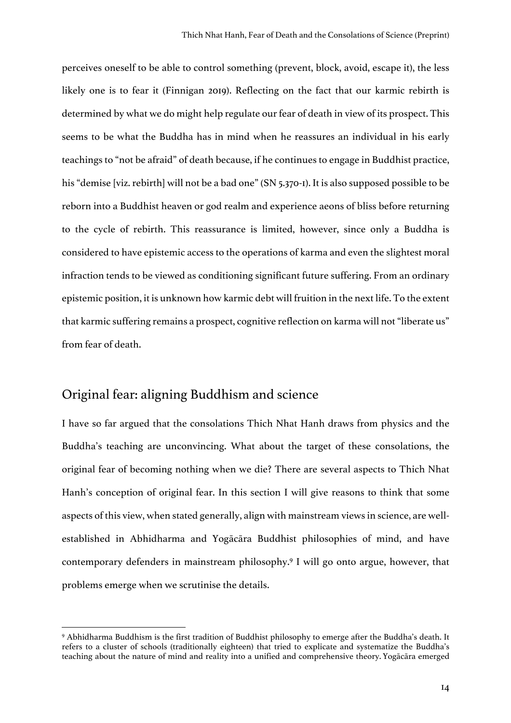perceives oneself to be able to control something (prevent, block, avoid, escape it), the less likely one is to fear it (Finnigan 2019). Reflecting on the fact that our karmic rebirth is determined by what we do might help regulate our fear of death in view of its prospect. This seems to be what the Buddha has in mind when he reassures an individual in his early teachings to "not be afraid" of death because, if he continues to engage in Buddhist practice, his "demise [viz. rebirth] will not be a bad one" (SN 5.370-1). It is also supposed possible to be reborn into a Buddhist heaven or god realm and experience aeons of bliss before returning to the cycle of rebirth. This reassurance is limited, however, since only a Buddha is considered to have epistemic access to the operations of karma and even the slightest moral infraction tends to be viewed as conditioning significant future suffering. From an ordinary epistemic position, it is unknown how karmic debt will fruition in the next life. To the extent that karmic suffering remains a prospect, cognitive reflection on karma will not "liberate us" from fear of death.

# Original fear: aligning Buddhism and science

I have so far argued that the consolations Thich Nhat Hanh draws from physics and the Buddha's teaching are unconvincing. What about the target of these consolations, the original fear of becoming nothing when we die? There are several aspects to Thich Nhat Hanh's conception of original fear. In this section I will give reasons to think that some aspects of this view, when stated generally, align with mainstream views in science, are wellestablished in Abhidharma and Yogācāra Buddhist philosophies of mind, and have contemporary defenders in mainstream philosophy. <sup>9</sup> I will go onto argue, however, that problems emerge when we scrutinise the details.

<sup>9</sup> Abhidharma Buddhism is the first tradition of Buddhist philosophy to emerge after the Buddha's death. It refers to a cluster of schools (traditionally eighteen) that tried to explicate and systematize the Buddha's teaching about the nature of mind and reality into a unified and comprehensive theory. Yogācāra emerged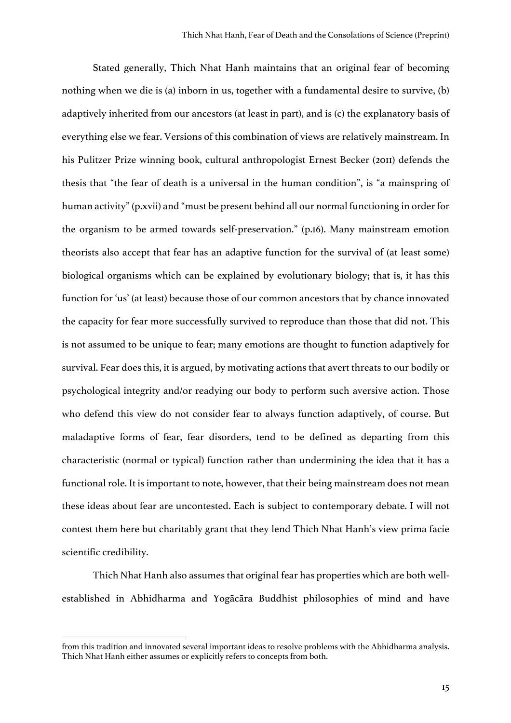Stated generally, Thich Nhat Hanh maintains that an original fear of becoming nothing when we die is (a) inborn in us, together with a fundamental desire to survive, (b) adaptively inherited from our ancestors (at least in part), and is (c) the explanatory basis of everything else we fear. Versions of this combination of views are relatively mainstream. In his Pulitzer Prize winning book, cultural anthropologist Ernest Becker (2011) defends the thesis that "the fear of death is a universal in the human condition", is "a mainspring of human activity" (p.xvii) and "must be present behind all our normal functioning in order for the organism to be armed towards self-preservation." (p.16). Many mainstream emotion theorists also accept that fear has an adaptive function for the survival of (at least some) biological organisms which can be explained by evolutionary biology; that is, it has this function for 'us' (at least) because those of our common ancestors that by chance innovated the capacity for fear more successfully survived to reproduce than those that did not. This is not assumed to be unique to fear; many emotions are thought to function adaptively for survival. Fear does this, it is argued, by motivating actions that avert threats to our bodily or psychological integrity and/or readying our body to perform such aversive action. Those who defend this view do not consider fear to always function adaptively, of course. But maladaptive forms of fear, fear disorders, tend to be defined as departing from this characteristic (normal or typical) function rather than undermining the idea that it has a functional role. It is important to note, however, that their being mainstream does not mean these ideas about fear are uncontested. Each is subject to contemporary debate. I will not contest them here but charitably grant that they lend Thich Nhat Hanh's view prima facie scientific credibility.

Thich Nhat Hanh also assumes that original fear has properties which are both wellestablished in Abhidharma and Yogācāra Buddhist philosophies of mind and have

from this tradition and innovated several important ideas to resolve problems with the Abhidharma analysis. Thich Nhat Hanh either assumes or explicitly refers to concepts from both.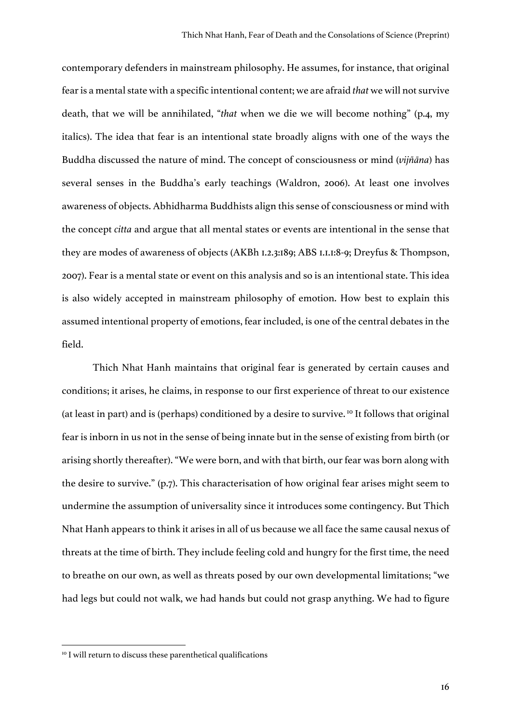contemporary defenders in mainstream philosophy. He assumes, for instance, that original fear is a mental state with a specific intentional content; we are afraid *that* we will not survive death, that we will be annihilated, "*that* when we die we will become nothing" (p.4, my italics). The idea that fear is an intentional state broadly aligns with one of the ways the Buddha discussed the nature of mind. The concept of consciousness or mind (*vijñāna*) has several senses in the Buddha's early teachings (Waldron, 2006). At least one involves awareness of objects. Abhidharma Buddhists align this sense of consciousness or mind with the concept *citta* and argue that all mental states or events are intentional in the sense that they are modes of awareness of objects (AKBh 1.2.3:189; ABS 1.1.1:8-9; Dreyfus & Thompson, 2007). Fear is a mental state or event on this analysis and so is an intentional state. This idea is also widely accepted in mainstream philosophy of emotion. How best to explain this assumed intentional property of emotions, fear included, is one of the central debates in the field.

Thich Nhat Hanh maintains that original fear is generated by certain causes and conditions; it arises, he claims, in response to our first experience of threat to our existence (at least in part) and is (perhaps) conditioned by a desire to survive. <sup>10</sup> It follows that original fear is inborn in us not in the sense of being innate but in the sense of existing from birth (or arising shortly thereafter). "We were born, and with that birth, our fear was born along with the desire to survive." (p.7). This characterisation of how original fear arises might seem to undermine the assumption of universality since it introduces some contingency. But Thich Nhat Hanh appears to think it arises in all of us because we all face the same causal nexus of threats at the time of birth. They include feeling cold and hungry for the first time, the need to breathe on our own, as well as threats posed by our own developmental limitations; "we had legs but could not walk, we had hands but could not grasp anything. We had to figure

<sup>&</sup>lt;sup>10</sup> I will return to discuss these parenthetical qualifications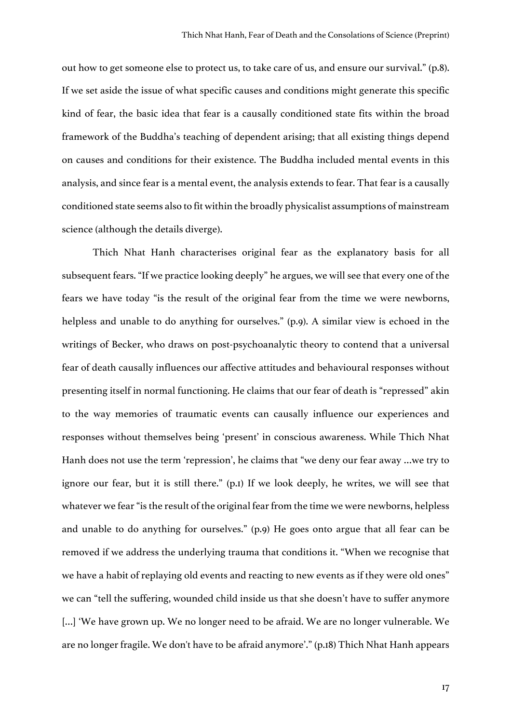out how to get someone else to protect us, to take care of us, and ensure our survival." (p.8). If we set aside the issue of what specific causes and conditions might generate this specific kind of fear, the basic idea that fear is a causally conditioned state fits within the broad framework of the Buddha's teaching of dependent arising; that all existing things depend on causes and conditions for their existence. The Buddha included mental events in this analysis, and since fear is a mental event, the analysis extends to fear. That fear is a causally conditioned state seems also to fit within the broadly physicalist assumptions of mainstream science (although the details diverge).

Thich Nhat Hanh characterises original fear as the explanatory basis for all subsequent fears. "If we practice looking deeply" he argues, we will see that every one of the fears we have today "is the result of the original fear from the time we were newborns, helpless and unable to do anything for ourselves." (p.9). A similar view is echoed in the writings of Becker, who draws on post-psychoanalytic theory to contend that a universal fear of death causally influences our affective attitudes and behavioural responses without presenting itself in normal functioning. He claims that our fear of death is "repressed" akin to the way memories of traumatic events can causally influence our experiences and responses without themselves being 'present' in conscious awareness. While Thich Nhat Hanh does not use the term 'repression', he claims that "we deny our fear away …we try to ignore our fear, but it is still there." (p.1) If we look deeply, he writes, we will see that whatever we fear "is the result of the original fear from the time we were newborns, helpless and unable to do anything for ourselves." (p.9) He goes onto argue that all fear can be removed if we address the underlying trauma that conditions it. "When we recognise that we have a habit of replaying old events and reacting to new events as if they were old ones" we can "tell the suffering, wounded child inside us that she doesn't have to suffer anymore [...] 'We have grown up. We no longer need to be afraid. We are no longer vulnerable. We are no longer fragile. We don't have to be afraid anymore'." (p.18) Thich Nhat Hanh appears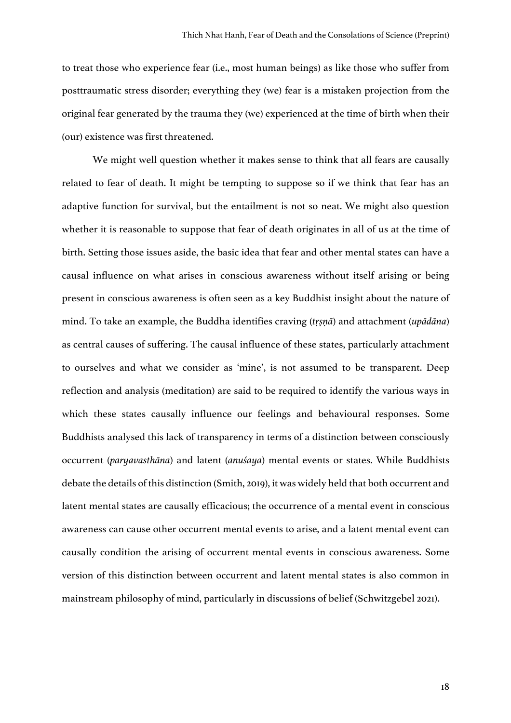to treat those who experience fear (i.e., most human beings) as like those who suffer from posttraumatic stress disorder; everything they (we) fear is a mistaken projection from the original fear generated by the trauma they (we) experienced at the time of birth when their (our) existence was first threatened.

We might well question whether it makes sense to think that all fears are causally related to fear of death. It might be tempting to suppose so if we think that fear has an adaptive function for survival, but the entailment is not so neat. We might also question whether it is reasonable to suppose that fear of death originates in all of us at the time of birth. Setting those issues aside, the basic idea that fear and other mental states can have a causal influence on what arises in conscious awareness without itself arising or being present in conscious awareness is often seen as a key Buddhist insight about the nature of mind. To take an example, the Buddha identifies craving (*tṛṣṇā*) and attachment (*upādāna*) as central causes of suffering. The causal influence of these states, particularly attachment to ourselves and what we consider as 'mine', is not assumed to be transparent. Deep reflection and analysis (meditation) are said to be required to identify the various ways in which these states causally influence our feelings and behavioural responses. Some Buddhists analysed this lack of transparency in terms of a distinction between consciously occurrent (*paryavasthāna*) and latent (*anuśaya*) mental events or states. While Buddhists debate the details of this distinction (Smith, 2019), it was widely held that both occurrent and latent mental states are causally efficacious; the occurrence of a mental event in conscious awareness can cause other occurrent mental events to arise, and a latent mental event can causally condition the arising of occurrent mental events in conscious awareness. Some version of this distinction between occurrent and latent mental states is also common in mainstream philosophy of mind, particularly in discussions of belief (Schwitzgebel 2021).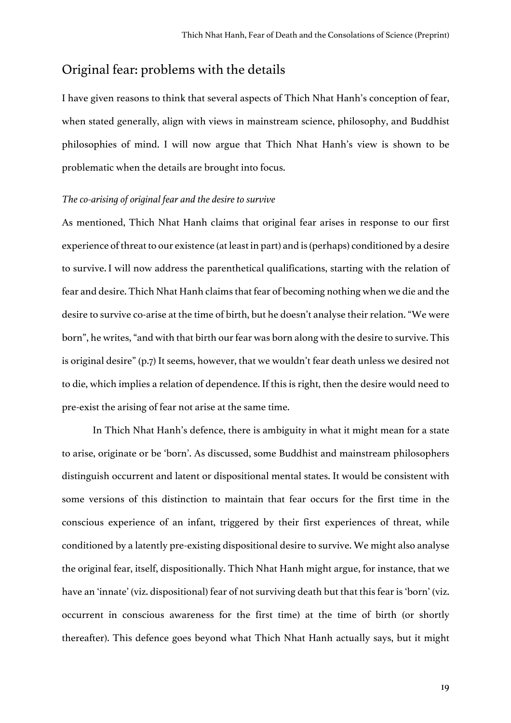# Original fear: problems with the details

I have given reasons to think that several aspects of Thich Nhat Hanh's conception of fear, when stated generally, align with views in mainstream science, philosophy, and Buddhist philosophies of mind. I will now argue that Thich Nhat Hanh's view is shown to be problematic when the details are brought into focus.

#### *The co-arising of original fear and the desire to survive*

As mentioned, Thich Nhat Hanh claims that original fear arises in response to our first experience of threat to our existence (at least in part) and is (perhaps) conditioned by a desire to survive. I will now address the parenthetical qualifications, starting with the relation of fear and desire. Thich Nhat Hanh claims that fear of becoming nothing when we die and the desire to survive co-arise at the time of birth, but he doesn't analyse their relation. "We were born", he writes, "and with that birth our fear was born along with the desire to survive. This is original desire" (p.7) It seems, however, that we wouldn't fear death unless we desired not to die, which implies a relation of dependence. If this is right, then the desire would need to pre-exist the arising of fear not arise at the same time.

In Thich Nhat Hanh's defence, there is ambiguity in what it might mean for a state to arise, originate or be 'born'. As discussed, some Buddhist and mainstream philosophers distinguish occurrent and latent or dispositional mental states. It would be consistent with some versions of this distinction to maintain that fear occurs for the first time in the conscious experience of an infant, triggered by their first experiences of threat, while conditioned by a latently pre-existing dispositional desire to survive. We might also analyse the original fear, itself, dispositionally. Thich Nhat Hanh might argue, for instance, that we have an 'innate' (viz. dispositional) fear of not surviving death but that this fear is 'born' (viz. occurrent in conscious awareness for the first time) at the time of birth (or shortly thereafter). This defence goes beyond what Thich Nhat Hanh actually says, but it might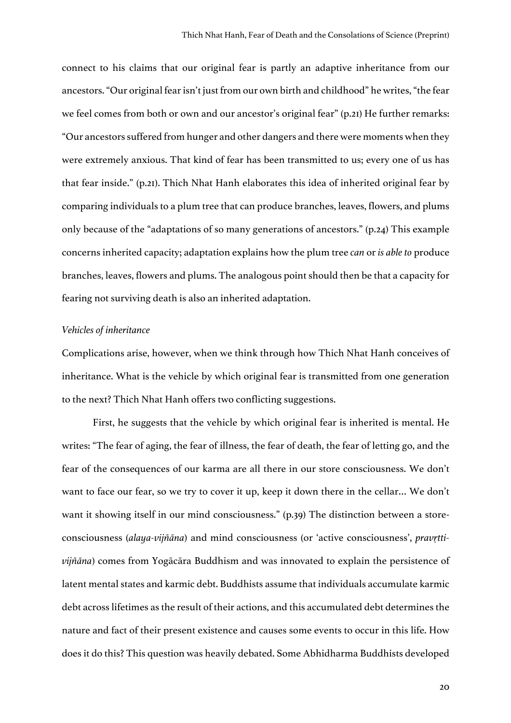connect to his claims that our original fear is partly an adaptive inheritance from our ancestors. "Our original fear isn't just from our own birth and childhood" he writes,"the fear we feel comes from both or own and our ancestor's original fear" (p.21) He further remarks: "Our ancestors suffered from hunger and other dangers and there were moments when they were extremely anxious. That kind of fear has been transmitted to us; every one of us has that fear inside." (p.21). Thich Nhat Hanh elaborates this idea of inherited original fear by comparing individuals to a plum tree that can produce branches, leaves, flowers, and plums only because of the "adaptations of so many generations of ancestors." (p.24) This example concerns inherited capacity; adaptation explains how the plum tree *can* or *is able to* produce branches, leaves, flowers and plums. The analogous point should then be that a capacity for fearing not surviving death is also an inherited adaptation.

#### *Vehicles of inheritance*

Complications arise, however, when we think through how Thich Nhat Hanh conceives of inheritance. What is the vehicle by which original fear is transmitted from one generation to the next? Thich Nhat Hanh offers two conflicting suggestions.

First, he suggests that the vehicle by which original fear is inherited is mental. He writes: "The fear of aging, the fear of illness, the fear of death, the fear of letting go, and the fear of the consequences of our karma are all there in our store consciousness. We don't want to face our fear, so we try to cover it up, keep it down there in the cellar… We don't want it showing itself in our mind consciousness." (p.39) The distinction between a storeconsciousness (*alaya-vijñāna*) and mind consciousness (or 'active consciousness', *pravṛttivijñāna*) comes from Yogācāra Buddhism and was innovated to explain the persistence of latent mental states and karmic debt. Buddhists assume that individuals accumulate karmic debt across lifetimes as the result of their actions, and this accumulated debt determines the nature and fact of their present existence and causes some events to occur in this life. How does it do this? This question was heavily debated. Some Abhidharma Buddhists developed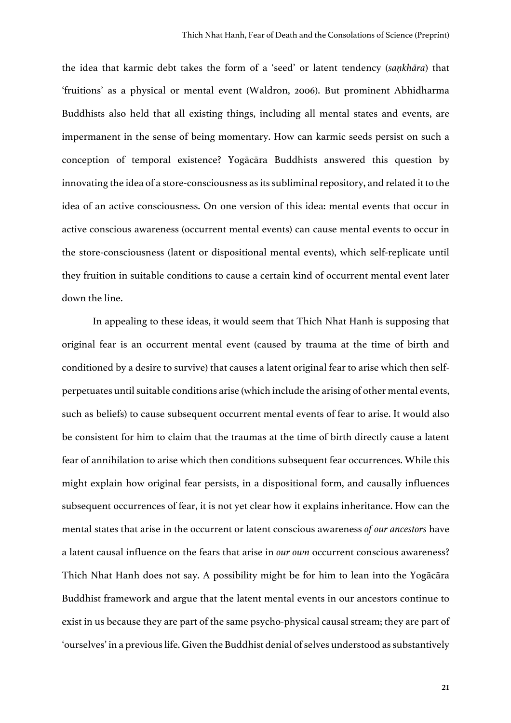the idea that karmic debt takes the form of a 'seed' or latent tendency (*saṇkhāra*) that 'fruitions' as a physical or mental event (Waldron, 2006). But prominent Abhidharma Buddhists also held that all existing things, including all mental states and events, are impermanent in the sense of being momentary. How can karmic seeds persist on such a conception of temporal existence? Yogācāra Buddhists answered this question by innovating the idea of a store-consciousness as its subliminal repository, and related it to the idea of an active consciousness. On one version of this idea: mental events that occur in active conscious awareness (occurrent mental events) can cause mental events to occur in the store-consciousness (latent or dispositional mental events), which self-replicate until they fruition in suitable conditions to cause a certain kind of occurrent mental event later down the line.

In appealing to these ideas, it would seem that Thich Nhat Hanh is supposing that original fear is an occurrent mental event (caused by trauma at the time of birth and conditioned by a desire to survive) that causes a latent original fear to arise which then selfperpetuates until suitable conditions arise (which include the arising of other mental events, such as beliefs) to cause subsequent occurrent mental events of fear to arise. It would also be consistent for him to claim that the traumas at the time of birth directly cause a latent fear of annihilation to arise which then conditions subsequent fear occurrences. While this might explain how original fear persists, in a dispositional form, and causally influences subsequent occurrences of fear, it is not yet clear how it explains inheritance. How can the mental states that arise in the occurrent or latent conscious awareness *of our ancestors* have a latent causal influence on the fears that arise in *our own* occurrent conscious awareness? Thich Nhat Hanh does not say. A possibility might be for him to lean into the Yogācāra Buddhist framework and argue that the latent mental events in our ancestors continue to exist in us because they are part of the same psycho-physical causal stream; they are part of 'ourselves' in a previous life. Given the Buddhist denial of selves understood as substantively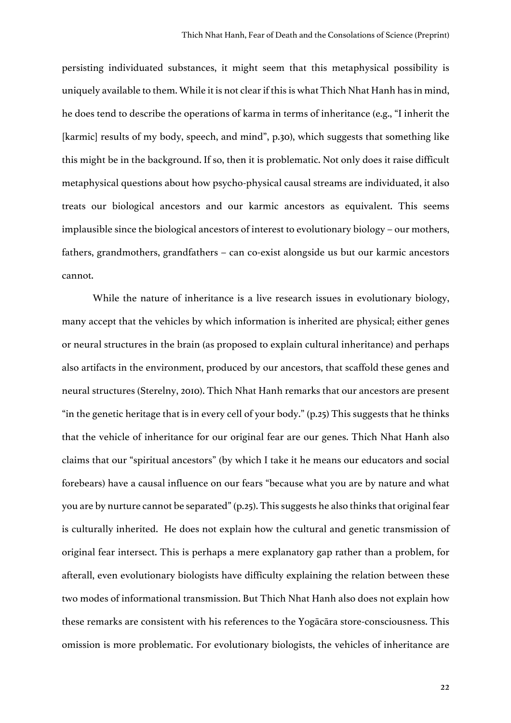persisting individuated substances, it might seem that this metaphysical possibility is uniquely available to them. While it is not clear if this is what Thich Nhat Hanh has in mind, he does tend to describe the operations of karma in terms of inheritance (e.g., "I inherit the [karmic] results of my body, speech, and mind", p.30), which suggests that something like this might be in the background. If so, then it is problematic. Not only does it raise difficult metaphysical questions about how psycho-physical causal streams are individuated, it also treats our biological ancestors and our karmic ancestors as equivalent. This seems implausible since the biological ancestors of interest to evolutionary biology – our mothers, fathers, grandmothers, grandfathers – can co-exist alongside us but our karmic ancestors cannot.

While the nature of inheritance is a live research issues in evolutionary biology, many accept that the vehicles by which information is inherited are physical; either genes or neural structures in the brain (as proposed to explain cultural inheritance) and perhaps also artifacts in the environment, produced by our ancestors, that scaffold these genes and neural structures (Sterelny, 2010). Thich Nhat Hanh remarks that our ancestors are present "in the genetic heritage that is in every cell of your body." (p.25) This suggests that he thinks that the vehicle of inheritance for our original fear are our genes. Thich Nhat Hanh also claims that our "spiritual ancestors" (by which I take it he means our educators and social forebears) have a causal influence on our fears "because what you are by nature and what you are by nurture cannot be separated" (p.25). This suggests he also thinks that original fear is culturally inherited. He does not explain how the cultural and genetic transmission of original fear intersect. This is perhaps a mere explanatory gap rather than a problem, for afterall, even evolutionary biologists have difficulty explaining the relation between these two modes of informational transmission. But Thich Nhat Hanh also does not explain how these remarks are consistent with his references to the Yogācāra store-consciousness. This omission is more problematic. For evolutionary biologists, the vehicles of inheritance are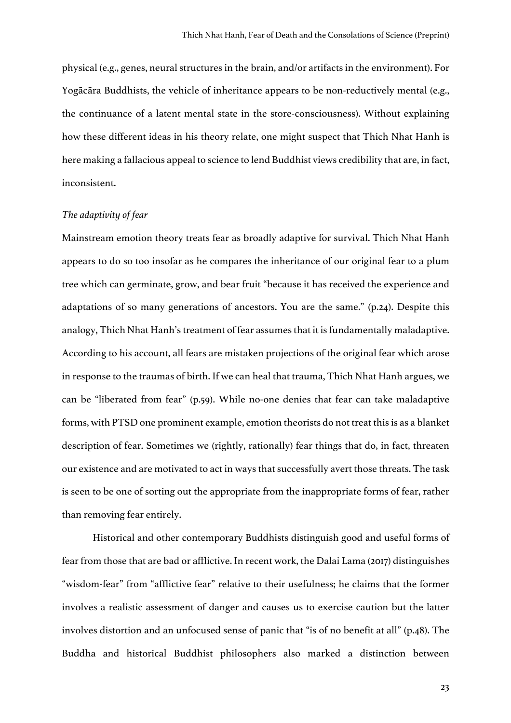physical (e.g., genes, neural structures in the brain, and/or artifacts in the environment). For Yogācāra Buddhists, the vehicle of inheritance appears to be non-reductively mental (e.g., the continuance of a latent mental state in the store-consciousness). Without explaining how these different ideas in his theory relate, one might suspect that Thich Nhat Hanh is here making a fallacious appeal to science to lend Buddhist views credibility that are, in fact, inconsistent.

### *The adaptivity of fear*

Mainstream emotion theory treats fear as broadly adaptive for survival. Thich Nhat Hanh appears to do so too insofar as he compares the inheritance of our original fear to a plum tree which can germinate, grow, and bear fruit "because it has received the experience and adaptations of so many generations of ancestors. You are the same." (p.24). Despite this analogy, Thich Nhat Hanh's treatment of fear assumes that it is fundamentally maladaptive. According to his account, all fears are mistaken projections of the original fear which arose in response to the traumas of birth. If we can heal that trauma, Thich Nhat Hanh argues, we can be "liberated from fear" (p.59). While no-one denies that fear can take maladaptive forms, with PTSD one prominent example, emotion theorists do not treat this is as a blanket description of fear. Sometimes we (rightly, rationally) fear things that do, in fact, threaten our existence and are motivated to act in ways that successfully avert those threats. The task is seen to be one of sorting out the appropriate from the inappropriate forms of fear, rather than removing fear entirely.

Historical and other contemporary Buddhists distinguish good and useful forms of fear from those that are bad or afflictive. In recent work, the Dalai Lama (2017) distinguishes "wisdom-fear" from "afflictive fear" relative to their usefulness; he claims that the former involves a realistic assessment of danger and causes us to exercise caution but the latter involves distortion and an unfocused sense of panic that "is of no benefit at all" (p.48). The Buddha and historical Buddhist philosophers also marked a distinction between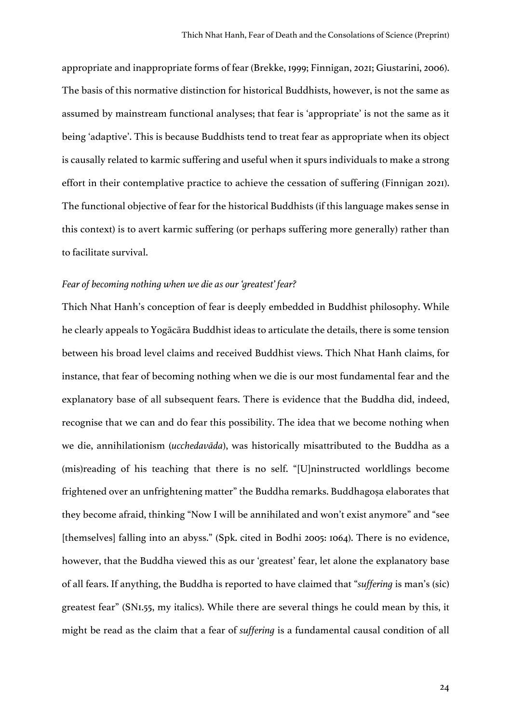appropriate and inappropriate forms of fear (Brekke, 1999; Finnigan, 2021; Giustarini, 2006). The basis of this normative distinction for historical Buddhists, however, is not the same as assumed by mainstream functional analyses; that fear is 'appropriate' is not the same as it being 'adaptive'. This is because Buddhists tend to treat fear as appropriate when its object is causally related to karmic suffering and useful when it spurs individuals to make a strong effort in their contemplative practice to achieve the cessation of suffering (Finnigan 2021). The functional objective of fear for the historical Buddhists (if this language makes sense in this context) is to avert karmic suffering (or perhaps suffering more generally) rather than to facilitate survival.

#### *Fear of becoming nothing when we die as our 'greatest' fear?*

Thich Nhat Hanh's conception of fear is deeply embedded in Buddhist philosophy. While he clearly appeals to Yogācāra Buddhist ideas to articulate the details, there is some tension between his broad level claims and received Buddhist views. Thich Nhat Hanh claims, for instance, that fear of becoming nothing when we die is our most fundamental fear and the explanatory base of all subsequent fears. There is evidence that the Buddha did, indeed, recognise that we can and do fear this possibility. The idea that we become nothing when we die, annihilationism (*ucchedavāda*), was historically misattributed to the Buddha as a (mis)reading of his teaching that there is no self. "[U]ninstructed worldlings become frightened over an unfrightening matter" the Buddha remarks. Buddhagoṣa elaborates that they become afraid, thinking "Now I will be annihilated and won't exist anymore" and "see [themselves] falling into an abyss." (Spk. cited in Bodhi 2005: 1064). There is no evidence, however, that the Buddha viewed this as our 'greatest' fear, let alone the explanatory base of all fears. If anything, the Buddha is reported to have claimed that "*suffering* is man's (sic) greatest fear" (SN1.55, my italics). While there are several things he could mean by this, it might be read as the claim that a fear of *suffering* is a fundamental causal condition of all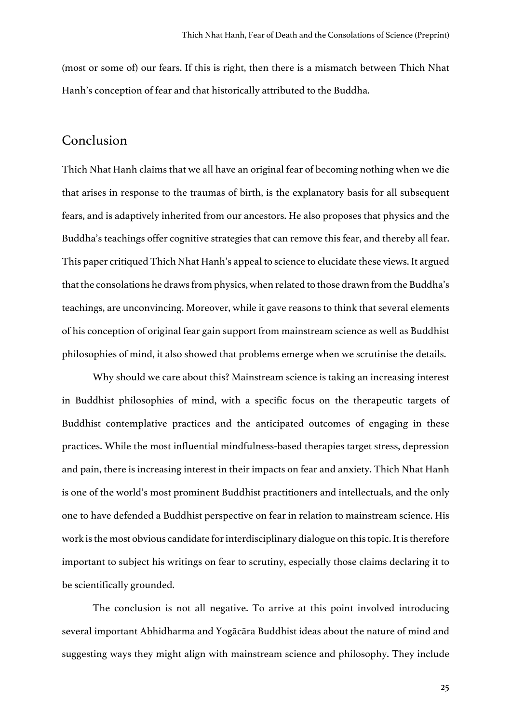(most or some of) our fears. If this is right, then there is a mismatch between Thich Nhat Hanh's conception of fear and that historically attributed to the Buddha.

### Conclusion

Thich Nhat Hanh claims that we all have an original fear of becoming nothing when we die that arises in response to the traumas of birth, is the explanatory basis for all subsequent fears, and is adaptively inherited from our ancestors. He also proposes that physics and the Buddha's teachings offer cognitive strategies that can remove this fear, and thereby all fear. This paper critiqued Thich Nhat Hanh's appeal to science to elucidate these views. It argued that the consolations he draws from physics, when related to those drawn from the Buddha's teachings, are unconvincing. Moreover, while it gave reasons to think that several elements of his conception of original fear gain support from mainstream science as well as Buddhist philosophies of mind, it also showed that problems emerge when we scrutinise the details.

Why should we care about this? Mainstream science is taking an increasing interest in Buddhist philosophies of mind, with a specific focus on the therapeutic targets of Buddhist contemplative practices and the anticipated outcomes of engaging in these practices. While the most influential mindfulness-based therapies target stress, depression and pain, there is increasing interest in their impacts on fear and anxiety. Thich Nhat Hanh is one of the world's most prominent Buddhist practitioners and intellectuals, and the only one to have defended a Buddhist perspective on fear in relation to mainstream science. His work is the most obvious candidate for interdisciplinary dialogue on this topic. It is therefore important to subject his writings on fear to scrutiny, especially those claims declaring it to be scientifically grounded.

The conclusion is not all negative. To arrive at this point involved introducing several important Abhidharma and Yogācāra Buddhist ideas about the nature of mind and suggesting ways they might align with mainstream science and philosophy. They include

25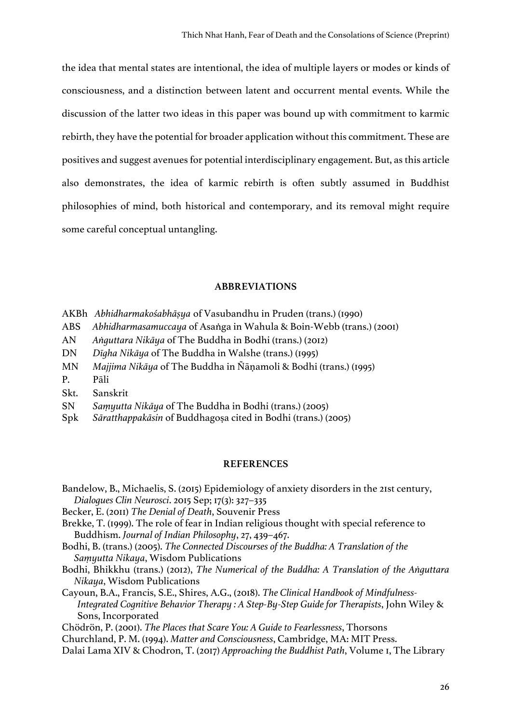the idea that mental states are intentional, the idea of multiple layers or modes or kinds of consciousness, and a distinction between latent and occurrent mental events. While the discussion of the latter two ideas in this paper was bound up with commitment to karmic rebirth, they have the potential for broader application without this commitment. These are positives and suggest avenues for potential interdisciplinary engagement. But, asthis article also demonstrates, the idea of karmic rebirth is often subtly assumed in Buddhist philosophies of mind, both historical and contemporary, and its removal might require some careful conceptual untangling.

### **ABBREVIATIONS**

- AKBh *Abhidharmakośabhāṣya* of Vasubandhu in Pruden (trans.) (1990)
- ABS *Abhidharmasamuccaya* of Asaṅga in Wahula & Boin-Webb (trans.) (2001)
- AN *Aṅguttara Nikāya* of The Buddha in Bodhi (trans.) (2012)
- DN *Dīgha Nikāya* of The Buddha in Walshe (trans.) (1995)
- MN *Majjima Nikāya* of The Buddha in Ñāṇamoli & Bodhi (trans.) (1995)
- P. Pāli
- Skt. Sanskrit
- SN *Saṃyutta Nikāya* of The Buddha in Bodhi (trans.) (2005)
- Spk *Sāratthappakāsin* of Buddhagoṣa cited in Bodhi (trans.) (2005)

### **REFERENCES**

- Bandelow, B., Michaelis, S. (2015) Epidemiology of anxiety disorders in the 21st century, *Dialogues Clin Neurosci*. 2015 Sep; 17(3): 327–335
- Becker, E. (2011) *The Denial of Death*, Souvenir Press
- Brekke, T. (1999). The role of fear in Indian religious thought with special reference to Buddhism. *Journal of Indian Philosophy*, 27, 439–467.
- Bodhi, B. (trans.) (2005). *The Connected Discourses of the Buddha: A Translation of the Saṃyutta Nikaya*, Wisdom Publications
- Bodhi, Bhikkhu (trans.) (2012), *The Numerical of the Buddha: A Translation of the Aṅguttara Nikaya*, Wisdom Publications
- Cayoun, B.A., Francis, S.E., Shires, A.G., (2018). *The Clinical Handbook of Mindfulness-Integrated Cognitive Behavior Therapy : A Step-By-Step Guide for Therapists*, John Wiley & Sons, Incorporated
- Chödrön, P. (2001). *The Places that Scare You: A Guide to Fearlessness*, Thorsons
- Churchland, P. M. (1994). *Matter and Consciousness*, Cambridge, MA: MIT Press.
- Dalai Lama XIV & Chodron, T. (2017) *Approaching the Buddhist Path*, Volume 1, The Library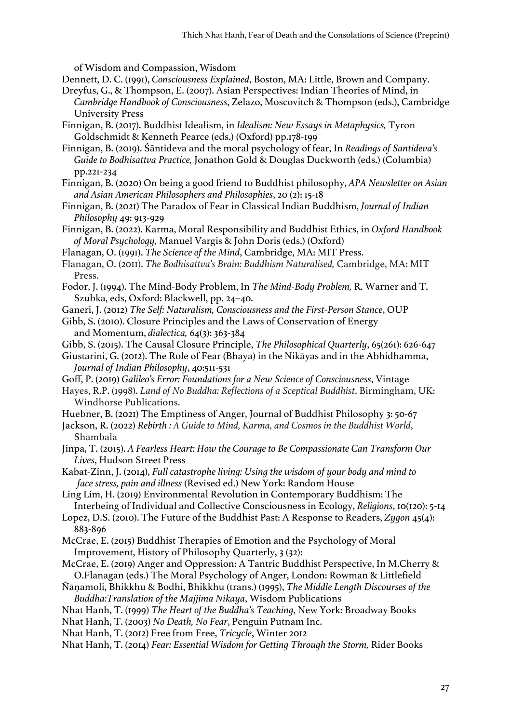of Wisdom and Compassion, Wisdom

- Dennett, D. C. (1991), *Consciousness Explained*, Boston, MA: Little, Brown and Company.
- Dreyfus, G., & Thompson, E. (2007). Asian Perspectives: Indian Theories of Mind, in *Cambridge Handbook of Consciousness*, Zelazo, Moscovitch & Thompson (eds.), Cambridge University Press
- Finnigan, B. (2017). Buddhist Idealism, in *Idealism: New Essays in Metaphysics,* Tyron Goldschmidt & Kenneth Pearce (eds.) (Oxford) pp.178-199
- Finnigan, B. (2019). Śāntideva and the moral psychology of fear, In *Readings of Santideva's Guide to Bodhisattva Practice,* Jonathon Gold & Douglas Duckworth (eds.) (Columbia) pp.221-234
- Finnigan, B. (2020) On being a good friend to Buddhist philosophy, *APA Newsletter on Asian and Asian American Philosophers and Philosophies*, 20 (2): 15-18
- Finnigan, B. (2021) The Paradox of Fear in Classical Indian Buddhism, *Journal of Indian Philosophy* 49: 913-929
- Finnigan, B. (2022). Karma, Moral Responsibility and Buddhist Ethics, in *Oxford Handbook of Moral Psychology,* Manuel Vargis & John Doris (eds.) (Oxford)
- Flanagan, O. (1991). *The Science of the Mind*, Cambridge, MA: MIT Press.
- Flanagan, O. (2011). *The Bodhisattva's Brain: Buddhism Naturalised,* Cambridge, MA: MIT Press.
- Fodor, J. (1994). The Mind-Body Problem, In *The Mind-Body Problem,* R. Warner and T. Szubka, eds, Oxford: Blackwell, pp. 24–40.
- Ganeri, J. (2012) *The Self: Naturalism, Consciousness and the First-Person Stance*, OUP
- Gibb, S. (2010). Closure Principles and the Laws of Conservation of Energy and Momentum, *dialectica,* 64(3): 363-384
- Gibb, S. (2015). The Causal Closure Principle, *The Philosophical Quarterly*, 65(261): 626-647
- Giustarini, G. (2012). The Role of Fear (Bhaya) in the Nikāyas and in the Abhidhamma, *Journal of Indian Philosophy*, 40:511-531
- Goff, P. (2019) *Galileo's Error: Foundations for a New Science of Consciousness*, Vintage
- Hayes, R.P. (1998). *Land of No Buddha: Reflections of a Sceptical Buddhist*. Birmingham, UK: Windhorse Publications.
- Huebner, B. (2021) The Emptiness of Anger, Journal of Buddhist Philosophy 3: 50-67
- Jackson, R. (2022) *Rebirth : A Guide to Mind, Karma, and Cosmos in the Buddhist World*, Shambala
- Jinpa, T. (2015). *A Fearless Heart: How the Courage to Be Compassionate Can Transform Our Lives*, Hudson Street Press
- Kabat-Zinn, J. (2014), *Full catastrophe living: Using the wisdom of your body and mind to face stress, pain and illness* (Revised ed.) New York: Random House
- Ling Lim, H. (2019) Environmental Revolution in Contemporary Buddhism: The Interbeing of Individual and Collective Consciousness in Ecology, *Religions*, 10(120): 5-14
- Lopez, D.S. (2010). The Future of the Buddhist Past: A Response to Readers, *Zygon* 45(4): 883-896
- McCrae, E. (2015) Buddhist Therapies of Emotion and the Psychology of Moral Improvement, History of Philosophy Quarterly, 3 (32):
- McCrae, E. (2019) Anger and Oppression: A Tantric Buddhist Perspective, In M.Cherry & O.Flanagan (eds.) The Moral Psychology of Anger, London: Rowman & Littlefield
- Ñāṇamoli, Bhikkhu & Bodhi, Bhikkhu (trans.) (1995), *The Middle Length Discourses of the Buddha:Translation of the Majjima Nikaya*, Wisdom Publications
- Nhat Hanh, T. (1999) *The Heart of the Buddha's Teaching*, New York: Broadway Books
- Nhat Hanh, T. (2003) *No Death, No Fear*, Penguin Putnam Inc.
- Nhat Hanh, T. (2012) Free from Free, *Tricycle*, Winter 2012
- Nhat Hanh, T. (2014) *Fear: Essential Wisdom for Getting Through the Storm,* Rider Books